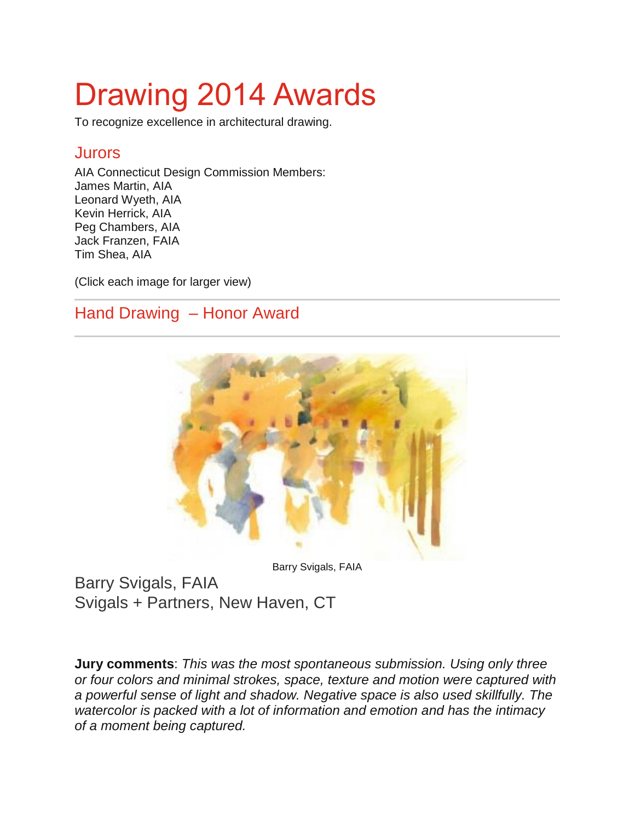# Drawing 2014 Awards

To recognize excellence in architectural drawing.

#### **Jurors**

AIA Connecticut Design Commission Members: James Martin, AIA Leonard Wyeth, AIA Kevin Herrick, AIA Peg Chambers, AIA Jack Franzen, FAIA Tim Shea, AIA

(Click each image for larger view)

#### Hand Drawing – Honor Award



Barry Svigals, FAIA

Barry Svigals, FAIA Svigals + Partners, New Haven, CT

**Jury comments**: *This was the most spontaneous submission. Using only three or four colors and minimal strokes, space, texture and motion were captured with a powerful sense of light and shadow. Negative space is also used skillfully. The watercolor is packed with a lot of information and emotion and has the intimacy of a moment being captured.*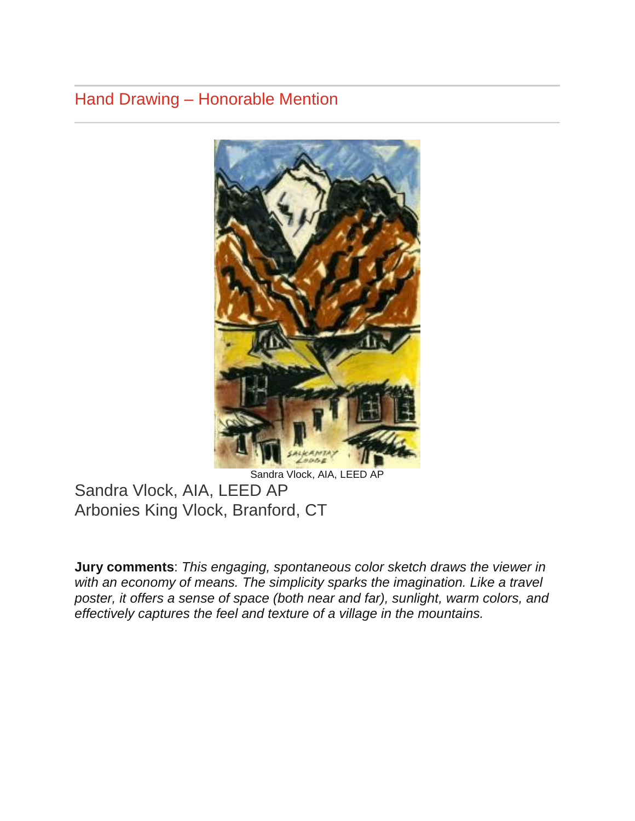## Hand Drawing – Honorable Mention



Sandra Vlock, AIA, LEED AP Arbonies King Vlock, Branford, CT

**Jury comments**: *This engaging, spontaneous color sketch draws the viewer in*  with an economy of means. The simplicity sparks the imagination. Like a travel *poster, it offers a sense of space (both near and far), sunlight, warm colors, and effectively captures the feel and texture of a village in the mountains.*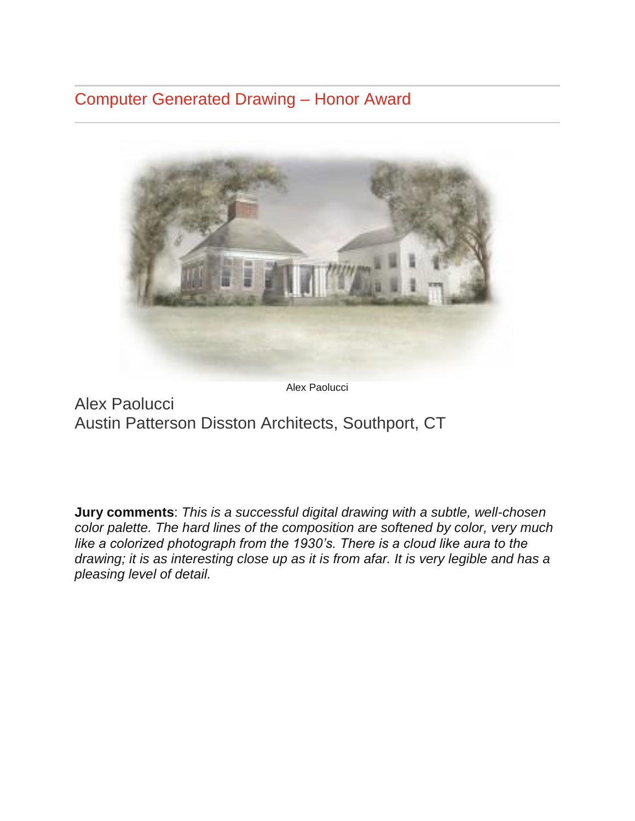### Computer Generated Drawing – Honor Award



Alex Paolucci

Alex Paolucci Austin Patterson Disston Architects, Southport, CT

**Jury comments**: *This is a successful digital drawing with a subtle, well-chosen color palette. The hard lines of the composition are softened by color, very much like a colorized photograph from the 1930's. There is a cloud like aura to the drawing; it is as interesting close up as it is from afar. It is very legible and has a pleasing level of detail.*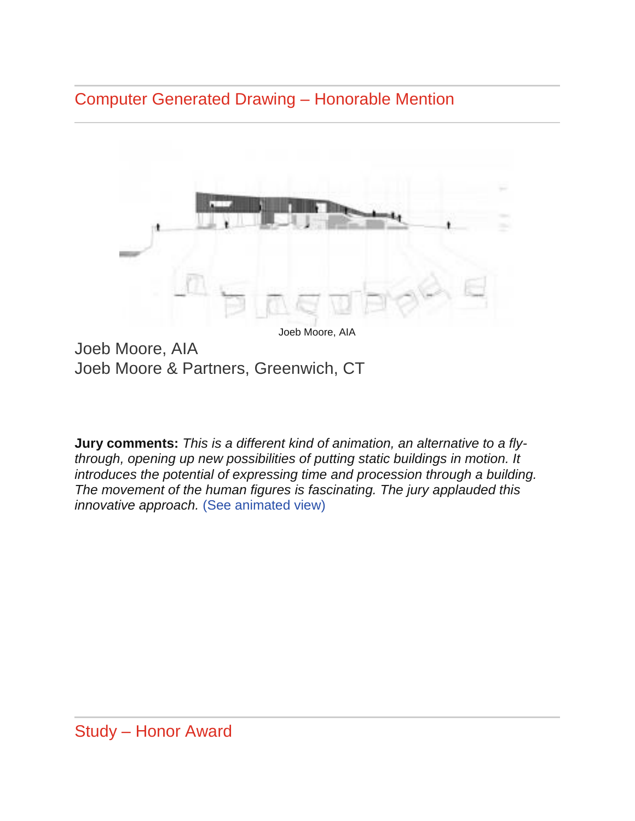Computer Generated Drawing – Honorable Mention



Joeb Moore, AIA Joeb Moore & Partners, Greenwich, CT

**Jury comments:** *This is a different kind of animation, an alternative to a flythrough, opening up new possibilities of putting static buildings in motion. It introduces the potential of expressing time and procession through a building. The movement of the human figures is fascinating. The jury applauded this innovative approach.* [\(See animated view\)](http://joebmoore.com/webfiles/JM&P_AIACT_Drawing_Award_Submission_Final.gif)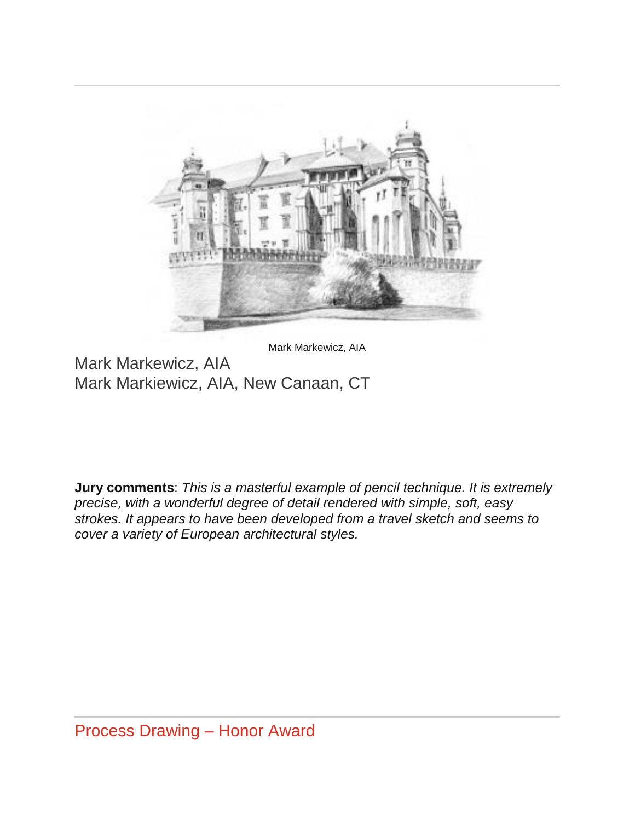

Mark Markewicz, AIA

Mark Markewicz, AIA Mark Markiewicz, AIA, New Canaan, CT

**Jury comments**: *This is a masterful example of pencil technique. It is extremely precise, with a wonderful degree of detail rendered with simple, soft, easy strokes. It appears to have been developed from a travel sketch and seems to cover a variety of European architectural styles.*